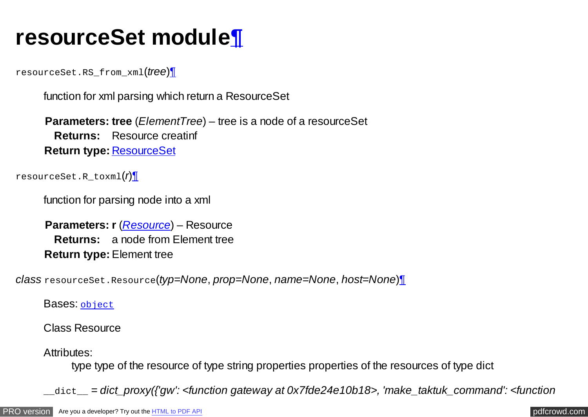# <span id="page-0-0"></span>**resourceSet module¶**

resourceSet.RS\_from\_xml(*tree*)¶

function for xml parsing which return a ResourceSet

**Parameters: tree** (*ElementTree*) – tree is a node of a resourceSet **Returns:** Resource creatinf **Return type:** [ResourceSet](#page-5-0)

resourceSet.R\_toxml(*r*)¶

function for parsing node into a xml

**Parameters: r** (*Resource*) – Resource **Returns:** a node from Element tree **Return type:** Element tree

*class* resourceSet.Resource(*typ=None*, *prop=None*, *name=None*, *host=None*)¶

Bases: [object](https://docs.python.org/library/functions.html#object)

Class Resource

Attributes:

type type of the resource of type string properties properties of the resources of type dict

\_\_dict\_\_ *= dict\_proxy({'gw': <function gateway at 0x7fde24e10b18>, 'make\_taktuk\_command': <function*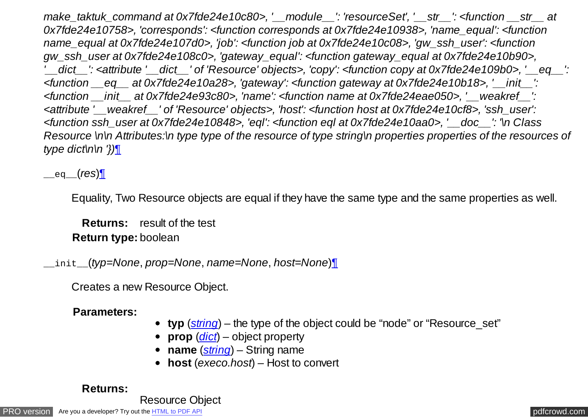*make\_taktuk\_command at 0x7fde24e10c80>, '\_\_module\_\_': 'resourceSet', '\_\_str\_\_': <function \_\_str\_\_ at 0x7fde24e10758>, 'corresponds': <function corresponds at 0x7fde24e10938>, 'name\_equal': <function name\_equal at 0x7fde24e107d0>, 'job': <function job at 0x7fde24e10c08>, 'gw\_ssh\_user': <function gw\_ssh\_user at 0x7fde24e108c0>, 'gateway\_equal': <function gateway\_equal at 0x7fde24e10b90>, '\_\_dict\_\_': <attribute '\_\_dict\_\_' of 'Resource' objects>, 'copy': <function copy at 0x7fde24e109b0>, '\_\_eq\_\_': <function \_\_eq\_\_ at 0x7fde24e10a28>, 'gateway': <function gateway at 0x7fde24e10b18>, '\_\_init\_\_': <function \_\_init\_\_ at 0x7fde24e93c80>, 'name': <function name at 0x7fde24eae050>, '\_\_weakref\_\_': <attribute '\_\_weakref\_\_' of 'Resource' objects>, 'host': <function host at 0x7fde24e10cf8>, 'ssh\_user': <function ssh\_user at 0x7fde24e10848>, 'eql': <function eql at 0x7fde24e10aa0>, '\_\_doc\_\_': '\n Class Resource \n\n Attributes:\n type type of the resource of type string\n properties properties of the resources of type dict\n\n '})*[¶](#page-0-0)

\_\_eq\_\_(*res*)¶

Equality, Two Resource objects are equal if they have the same type and the same properties as well.

**Returns:** result of the test **Return type:** boolean

\_\_init\_\_(*typ=None*, *prop=None*, *name=None*, *host=None*)¶

Creates a new Resource Object.

#### **Parameters:**

- **typ** (*[string](https://docs.python.org/library/string.html#module-string)*) the type of the object could be "node" or "Resource set"
- **prop** (*[dict](https://docs.python.org/library/stdtypes.html#dict)*) object property
- **name** (*[string](https://docs.python.org/library/string.html#module-string)*) String name
- **host** (*execo.host*) Host to convert

## **Returns:**

Resource Object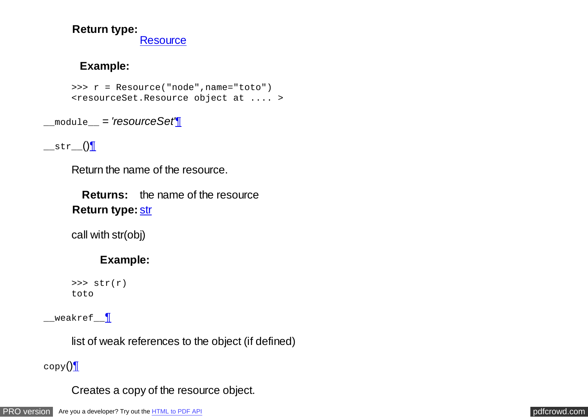#### **Return type: [Resource](#page-0-0)**

## **Example:**

>>> r = Resource("node",name="toto") <resourceSet.Resource object at .... >

\_\_module\_\_ *= 'resourceSet'*¶

## $_{\text{__str}}$ ()

Return the name of the resource.

**Returns:** the name of the resource **Return type: Str** 

call with str(obj)

## **Example:**

```
\gg str(r)
toto
```
 ${\sf \_}$ weakref ${\sf \_}$ 

list of weak references to the object (if defined)

## $\text{copy}()$

Creates a copy of the resource object.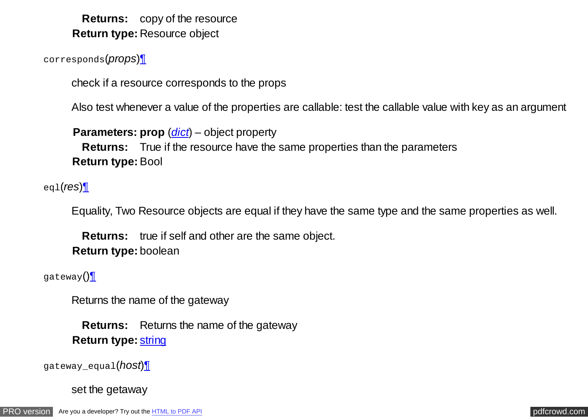**Returns:** copy of the resource **Return type:** Resource object

#### corresponds(*props*)¶

check if a resource corresponds to the props

Also test whenever a value of the properties are callable: test the callable value with key as an argument

**Parameters: prop** (*[dict](https://docs.python.org/library/stdtypes.html#dict)*) – object property **Returns:** True if the resource have the same properties than the parameters **Return type:** Bool

eql(*res*)¶

Equality, Two Resource objects are equal if they have the same type and the same properties as well.

**Returns:** true if self and other are the same object. **Return type:** boolean

gateway()¶

Returns the name of the gateway

**Returns:** Returns the name of the gateway **Return type:** [string](https://docs.python.org/library/string.html#module-string)

gateway\_equal(*host*)¶

set the getaway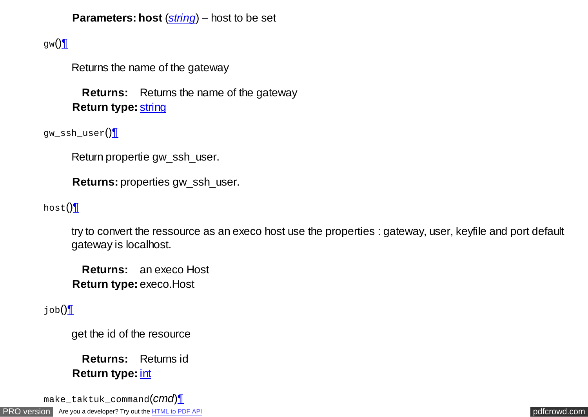## **Parameters: host** (*[string](https://docs.python.org/library/string.html#module-string)*) – host to be set

gw $()$ 

Returns the name of the gateway

**Returns:** Returns the name of the gateway **Return type: [string](https://docs.python.org/library/string.html#module-string)** 

gw\_ssh\_user()¶

Return propertie gw\_ssh\_user.

**Returns:** properties gw ssh user.

## host()¶

try to convert the ressource as an execo host use the properties : gateway, user, keyfile and port default gateway is localhost.

**Returns:** an execo Host **Return type:** execo.Host

 $j$ ob $()$ 

get the id of the resource

**Returns:** Returns id **Return type:** [int](https://docs.python.org/library/functions.html#int)

[PRO version](http://pdfcrowd.com/customize/) Are you a developer? Try out th[e HTML to PDF API](http://pdfcrowd.com/html-to-pdf-api/?ref=pdf) [pdfcrowd.com](http://pdfcrowd.com) make\_taktuk\_command(*cmd*)¶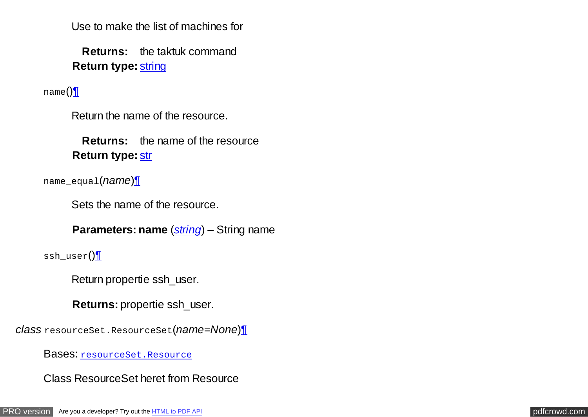<span id="page-5-0"></span>Use to make the list of machines for

**Returns:** the taktuk command **Return type: [string](https://docs.python.org/library/string.html#module-string)** 

name()¶

Return the name of the resource.

**Returns:** the name of the resource **Return type: [str](https://docs.python.org/library/functions.html#str)** 

name\_equal(*name*)¶

Sets the name of the resource.

**Parameters: name** (*[string](https://docs.python.org/library/string.html#module-string)*) – String name

ssh\_user()

Return propertie ssh\_user.

**Returns:** propertie ssh\_user.

*class* resourceSet.ResourceSet(*name=None*)¶

Bases: [resourceSet.Resource](#page-0-0)

Class ResourceSet heret from Resource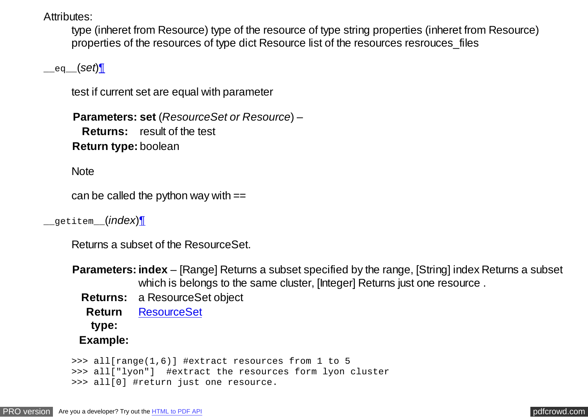Attributes:

type (inheret from Resource) type of the resource of type string properties (inheret from Resource) properties of the resources of type dict Resource list of the resources resrouces\_files

\_\_eq\_\_(*set*)¶

test if current set are equal with parameter

**Parameters: set** (*ResourceSet or Resource*) – **Returns:** result of the test **Return type:** boolean

**Note** 

can be called the python way with  $==$ 

\_\_getitem\_\_(*index*)¶

Returns a subset of the ResourceSet.

**Parameters: index** – [Range] Returns a subset specified by the range, [String] index Returns a subset which is belongs to the same cluster, [Integer] Returns just one resource.

**Returns:** a ResourceSet object

**Return [ResourceSet](#page-5-0)** 

**type:**

**Example:**

```
>>> all[range(1,6)] #extract resources from 1 to 5
>>> all["lyon"] #extract the resources form lyon cluster
>>> all[0] #return just one resource.
```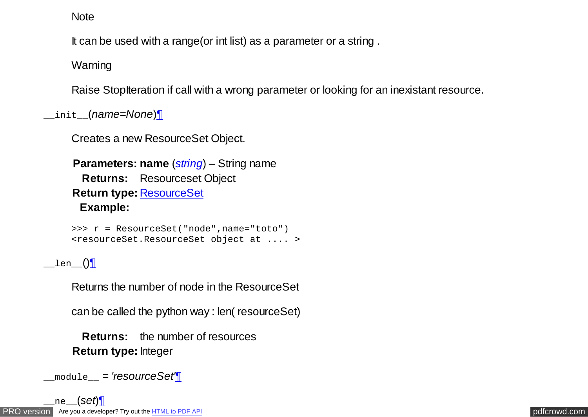<span id="page-7-0"></span>It can be used with a range(or int list) as a parameter or a string .

Warning

Raise StopIteration if call with a wrong parameter or looking for an inexistant resource.

\_\_init\_\_(*name=None*)¶

Creates a new ResourceSet Object.

**Parameters: name** (*[string](https://docs.python.org/library/string.html#module-string)*) – String name **Returns:** Resourceset Object **Return type:** [ResourceSet](#page-5-0) **Example:**

```
>>> r = ResourceSet("node",name="toto")
<resourceSet.ResourceSet object at .... >
```
 $\_len$   $()$ 

Returns the number of node in the ResourceSet

can be called the python way : len( resourceSet)

**Returns:** the number of resources **Return type:** Integer

\_\_module\_\_ *= 'resourceSet'*¶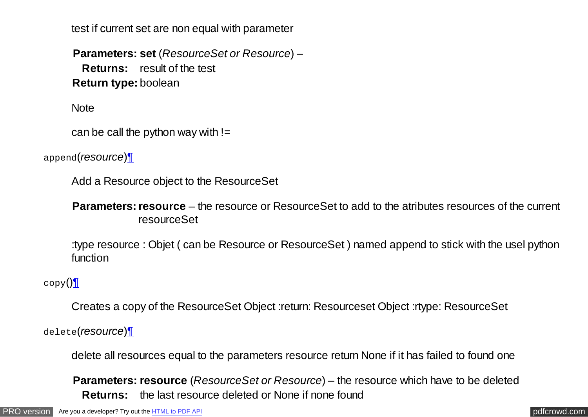test if current set are non equal with parameter

**Parameters: set** (*ResourceSet or Resource*) – **Returns:** result of the test **Return type:** boolean

**Note** 

\_\_ne\_\_(*set*[\)¶](#page-7-0)

can be call the python way with  $!=$ 

append(*resource*)¶

Add a Resource object to the ResourceSet

**Parameters: resource** – the resource or ResourceSet to add to the atributes resources of the current resourceSet

:type resource : Objet ( can be Resource or ResourceSet ) named append to stick with the usel python function

## $\text{copy}()$

Creates a copy of the ResourceSet Object :return: Resourceset Object :rtype: ResourceSet

delete(*resource*)¶

delete all resources equal to the parameters resource return None if it has failed to found one

**Parameters: resource** (*ResourceSet or Resource*) – the resource which have to be deleted **Returns:** the last resource deleted or None if none found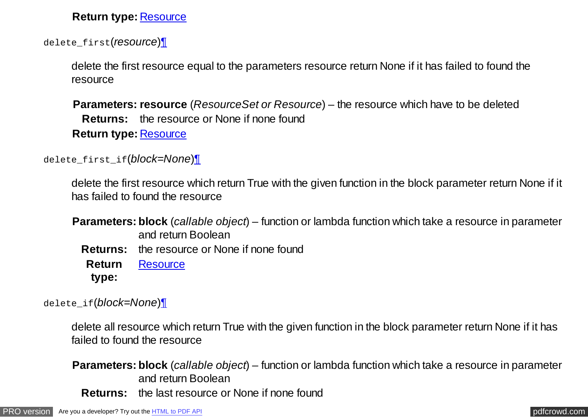## **Return type:** [Resource](#page-0-0)

delete\_first(*resource*)¶

delete the first resource equal to the parameters resource return None if it has failed to found the resource

**Parameters: resource** (*ResourceSet or Resource*) – the resource which have to be deleted **Returns:** the resource or None if none found **Return type:** [Resource](#page-0-0)

delete\_first\_if(*block=None*)¶

delete the first resource which return True with the given function in the block parameter return None if it has failed to found the resource

**Parameters: block** (*callable object*) – function or lambda function which take a resource in parameter and return Boolean

- **Returns:** the resource or None if none found
- **Return [Resource](#page-0-0)**
- **type:**

delete\_if(*block=None*)¶

delete all resource which return True with the given function in the block parameter return None if it has failed to found the resource

**Parameters: block** (*callable object*) – function or lambda function which take a resource in parameter and return Boolean

**Returns:** the last resource or None if none found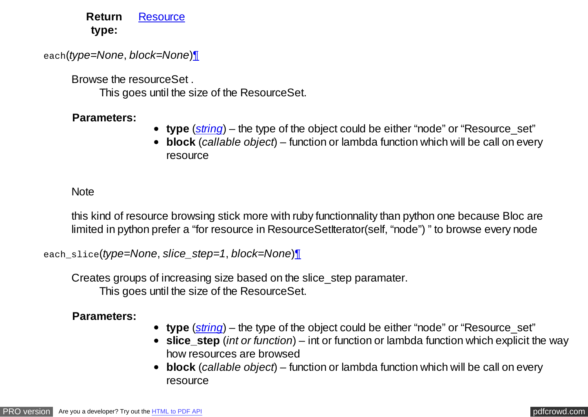#### **Return type: [Resource](#page-0-0)**

## each(*type=None*, *block=None*)¶

Browse the resourceSet .

This goes until the size of the ResourceSet.

## **Parameters:**

- **type** (*[string](https://docs.python.org/library/string.html#module-string)*) the type of the object could be either "node" or "Resource set"
- **block** (*callable object*) function or lambda function which will be call on every resource

**Note** 

this kind of resource browsing stick more with ruby functionnality than python one because Bloc are limited in python prefer a "for resource in ResourceSetIterator(self, "node") " to browse every node

each\_slice(*type=None*, *slice\_step=1*, *block=None*)¶

Creates groups of increasing size based on the slice\_step paramater. This goes until the size of the ResourceSet.

## **Parameters:**

- **type** (*[string](https://docs.python.org/library/string.html#module-string)*) the type of the object could be either "node" or "Resource set"
- **slice\_step** (*int or function*) int or function or lambda function which explicit the way how resources are browsed
- **block** (*callable object*) function or lambda function which will be call on every resource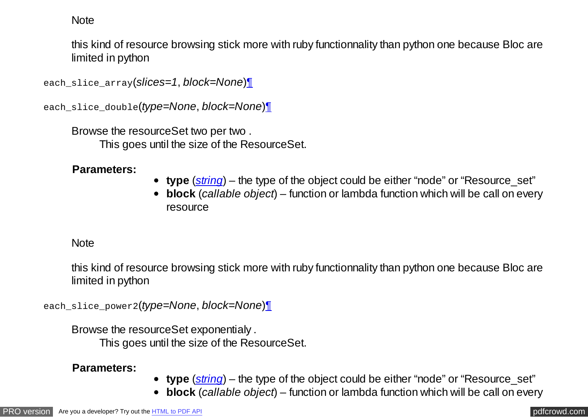this kind of resource browsing stick more with ruby functionnality than python one because Bloc are limited in python

each\_slice\_array(*slices=1*, *block=None*)¶

each\_slice\_double(*type=None*, *block=None*)¶

Browse the resourceSet two per two . This goes until the size of the ResourceSet.

#### **Parameters:**

- **type** (*[string](https://docs.python.org/library/string.html#module-string)*) the type of the object could be either "node" or "Resource set"
- **block** (*callable object*) function or lambda function which will be call on every resource

#### **Note**

this kind of resource browsing stick more with ruby functionnality than python one because Bloc are limited in python

each\_slice\_power2(*type=None*, *block=None*)¶

Browse the resourceSet exponentialy . This goes until the size of the ResourceSet.

#### **Parameters:**

- **type** (*[string](https://docs.python.org/library/string.html#module-string)*) the type of the object could be either "node" or "Resource\_set"
- **block** (*callable object*) function or lambda function which will be call on every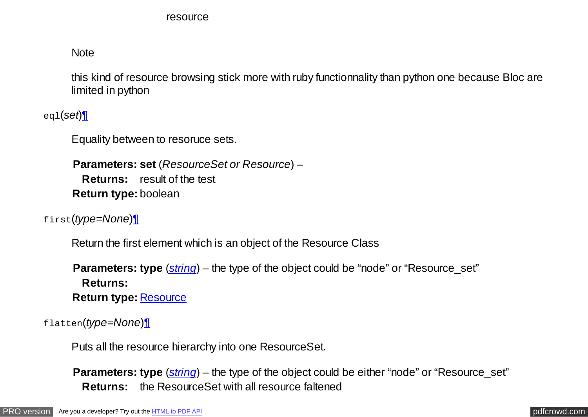this kind of resource browsing stick more with ruby functionnality than python one because Bloc are limited in python

eql(*set*)¶

Equality between to resoruce sets.

**Parameters: set** (*ResourceSet or Resource*) – **Returns:** result of the test **Return type:** boolean

first(*type=None*)¶

Return the first element which is an object of the Resource Class

**Parameters: type** (*[string](https://docs.python.org/library/string.html#module-string)*) – the type of the object could be "node" or "Resource set" **Returns: Return type:** [Resource](#page-0-0)

flatten(*type=None*)¶

Puts all the resource hierarchy into one ResourceSet.

**Parameters: type** (*[string](https://docs.python.org/library/string.html#module-string)*) – the type of the object could be either "node" or "Resource set" **Returns:** the ResourceSet with all resource faltened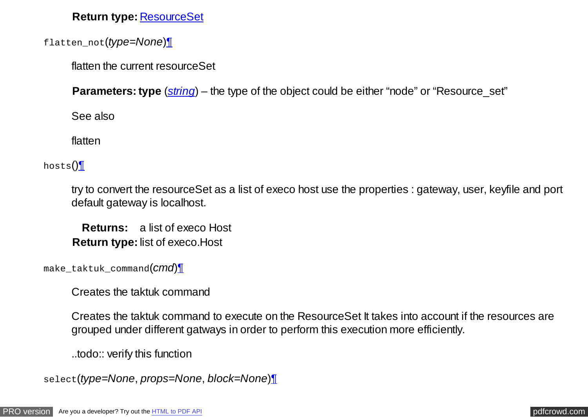## **Return type:** [ResourceSet](#page-5-0)

flatten\_not(*type=None*)¶

flatten the current resourceSet

**Parameters: type** (*[string](https://docs.python.org/library/string.html#module-string)*) – the type of the object could be either "node" or "Resource set"

See also

flatten

hosts()¶

try to convert the resourceSet as a list of execo host use the properties : gateway, user, keyfile and port default gateway is localhost.

**Returns:** a list of execo Host **Return type:** list of execo.Host

make\_taktuk\_command(*cmd*)¶

Creates the taktuk command

Creates the taktuk command to execute on the ResourceSet It takes into account if the resources are grouped under different gatways in order to perform this execution more efficiently.

..todo:: verify this function

select(*type=None*, *props=None*, *block=None*)¶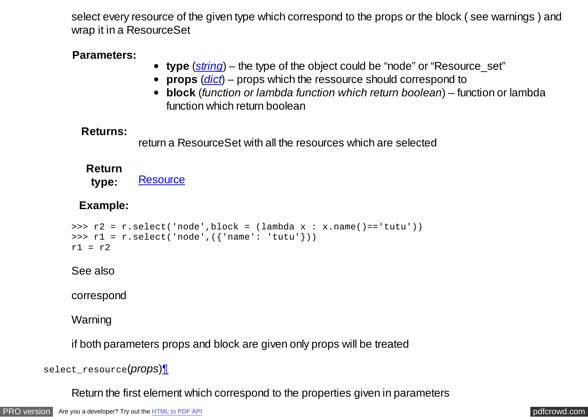select every resource of the given type which correspond to the props or the block ( see warnings ) and wrap it in a ResourceSet

## **Parameters:**

- **type** (*[string](https://docs.python.org/library/string.html#module-string)*) the type of the object could be "node" or "Resource set"
- **props** (*[dict](https://docs.python.org/library/stdtypes.html#dict)*) props which the ressource should correspond to
- **block** (*function or lambda function which return boolean*) function or lambda function which return boolean

## **Returns:**

return a ResourceSet with all the resources which are selected

## **Return**

type: [Resource](#page-0-0)

## **Example:**

```
>>> r2 = r.setlect('node', block = (lambda x : x.name() == 'tutu'))>>> r1 = r.select('node',({'name': 'tutu'}))
r1 = r2
```
See also

correspond

**Warning** 

if both parameters props and block are given only props will be treated

select\_resource(*props*)¶

Return the first element which correspond to the properties given in parameters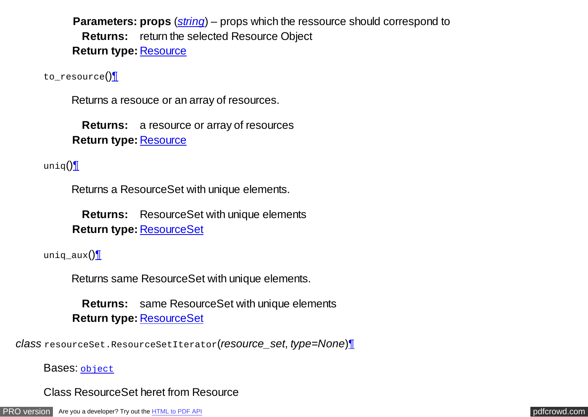**Parameters: props** (*[string](https://docs.python.org/library/string.html#module-string)*) – props which the ressource should correspond to **Returns:** return the selected Resource Object **Return type:** [Resource](#page-0-0)

to\_resource()¶

Returns a resouce or an array of resources.

**Returns:** a resource or array of resources **Return type:** [Resource](#page-0-0)

uniq $()$  $\P$ 

Returns a ResourceSet with unique elements.

**Returns:** ResourceSet with unique elements **Return type:** [ResourceSet](#page-5-0)

uniq\_aux $()$ 

Returns same ResourceSet with unique elements.

**Returns:** same ResourceSet with unique elements **Return type:** [ResourceSet](#page-5-0)

*class* resourceSet.ResourceSetIterator(*resource\_set*, *type=None*)¶

Bases: [object](https://docs.python.org/library/functions.html#object)

Class ResourceSet heret from Resource

[PRO version](http://pdfcrowd.com/customize/) Are you a developer? Try out th[e HTML to PDF API](http://pdfcrowd.com/html-to-pdf-api/?ref=pdf) pdf crowd.com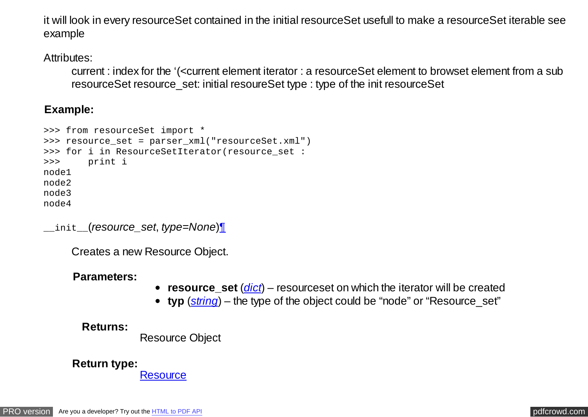it will look in every resourceSet contained in the initial resourceSet usefull to make a resourceSet iterable see example

Attributes:

current : index for the '(<current element iterator : a resourceSet element to browset element from a sub resourceSet resource\_set: initial resoureSet type : type of the init resourceSet

## **Example:**

```
>>> from resourceSet import *
>>> resource set = parser xml("resourceSet.xml")
>>> for i in ResourceSetIterator(resource set :
>>> print i
node1
node2
node3
node4
```
\_\_init\_\_(*resource\_set*, *type=None*)¶

Creates a new Resource Object.

#### **Parameters:**

- **resource** set (*[dict](https://docs.python.org/library/stdtypes.html#dict)*) resourceset on which the iterator will be created
- **typ** (*[string](https://docs.python.org/library/string.html#module-string)*) the type of the object could be "node" or "Resource set"

#### **Returns:**

Resource Object

**Return type: [Resource](#page-0-0)**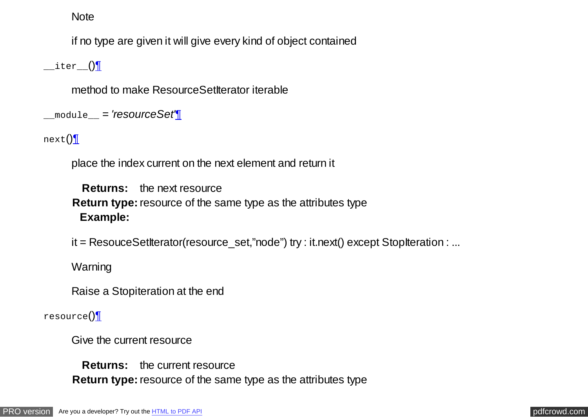if no type are given it will give every kind of object contained

 $\_$ iter $\_$ () $\rm{I}$ 

method to make ResourceSetIterator iterable

\_\_module\_\_ *= 'resourceSet'*¶

next()¶

place the index current on the next element and return it

**Returns:** the next resource **Return type:** resource of the same type as the attributes type **Example:**

it = ResouceSetIterator(resource\_set,"node") try : it.next() except StopIteration : ...

Warning

Raise a Stopiteration at the end

resource()¶

Give the current resource

**Returns:** the current resource **Return type:** resource of the same type as the attributes type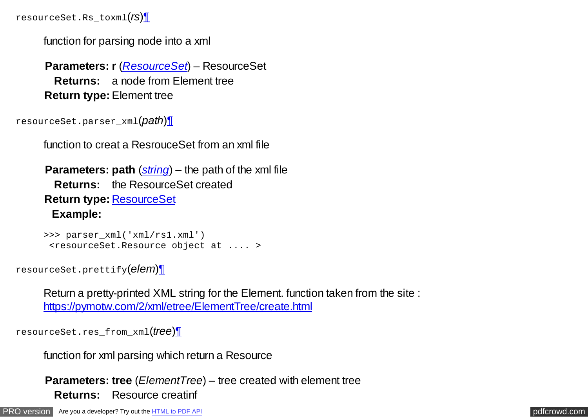resourceSet.Rs\_toxml(*rs*)¶

function for parsing node into a xml

**Parameters: r** (*[ResourceSet](#page-5-0)*) – ResourceSet **Returns:** a node from Element tree **Return type:** Element tree

```
resourceSet.parser_xml(path)¶
```
function to creat a ResrouceSet from an xml file

**Parameters: path** (*[string](https://docs.python.org/library/string.html#module-string)*) – the path of the xml file **Returns:** the ResourceSet created **Return type:** [ResourceSet](#page-5-0) **Example:**

```
>>> parser_xml('xml/rs1.xml')
  <resourceSet.Resource object at .... >
```
resourceSet.prettify(*elem*)¶

Return a pretty-printed XML string for the Element. function taken from the site : <https://pymotw.com/2/xml/etree/ElementTree/create.html>

resourceSet.res\_from\_xml(*tree*)¶

function for xml parsing which return a Resource

**Parameters: tree** (*ElementTree*) – tree created with element tree **Returns:** Resource creatinf

[PRO version](http://pdfcrowd.com/customize/) Are you a developer? Try out th[e HTML to PDF API](http://pdfcrowd.com/html-to-pdf-api/?ref=pdf) provided and the example of the HTML to PDF API [pdfcrowd.com](http://pdfcrowd.com)